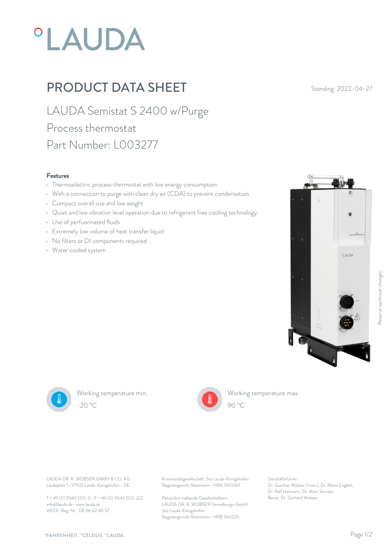# **°LAUDA**

## PRODUCT DATA SHEET Standing: 2022-04-27

LAUDA Semistat S 2400 w/Purge Process thermostat Part Number: L003277

#### Features

- Thermoelectric process thermostat with low energy consumption
- With a connection to purge with clean dry air (CDA) to prevent condensation
- Compact overall size and low weight
- Quiet and low vibration level operation due to refrigerant free cooling technology
- Use of perfuorinated fluids
- Extremely low volume of heat transfer liquid
- No filters or DI components required
- Water cooled system





Working temperature min. -20 °C 90 °C



Working temperature max. 90 °C

Laudaplatz 1 • 97922 Lauda-Königshofen • DE

T + 49 (0) 9343 503-0 • F + 49 (0) 9343 503-222 info@lauda.de • www.lauda.de WEEE-Reg-Nr.: DE 66 42 40 57

LAUDA DR. R. WOBSER GMBH & CO. KG Kommanditgesellschaft: Sitz Lauda-Königshofen Geschäftsführer: Registergericht Mannheim • HRA 560069

> Persönlich haftende Gesellschafterin: Beirat: Dr. Gerhard Wobse LAUDA DR. R. WOBSER Verwaltungs-GmbH Sitz Lauda-Königshofen Registergericht Mannheim • HRB 560226

Geschäftsführer: Dr. Gunther Wobser (Vors.), Dr. Mario Englert, Dr. Ralf Hermann, Dr. Marc Stricker